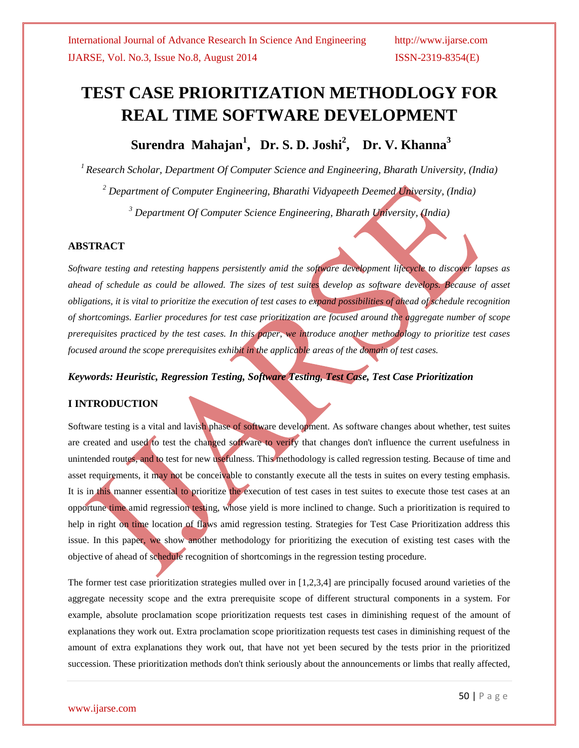# **TEST CASE PRIORITIZATION METHODLOGY FOR REAL TIME SOFTWARE DEVELOPMENT**

**Surendra Mahajan<sup>1</sup> , Dr. S. D. Joshi<sup>2</sup> , Dr. V. Khanna<sup>3</sup>**

*<sup>1</sup>Research Scholar, Department Of Computer Science and Engineering, Bharath University, (India)*

*<sup>2</sup> Department of Computer Engineering, Bharathi Vidyapeeth Deemed University, (India)*

*<sup>3</sup> Department Of Computer Science Engineering, Bharath University, (India)*

### **ABSTRACT**

*Software testing and retesting happens persistently amid the software development lifecycle to discover lapses as ahead of schedule as could be allowed. The sizes of test suites develop as software develops. Because of asset obligations, it is vital to prioritize the execution of test cases to expand possibilities of ahead of schedule recognition of shortcomings. Earlier procedures for test case prioritization are focused around the aggregate number of scope prerequisites practiced by the test cases. In this paper, we introduce another methodology to prioritize test cases focused around the scope prerequisites exhibit in the applicable areas of the domain of test cases.* 

#### *Keywords: Heuristic, Regression Testing, Software Testing, Test Case, Test Case Prioritization*

### **I INTRODUCTION**

Software testing is a vital and lavish phase of software development. As software changes about whether, test suites are created and used to test the changed software to verify that changes don't influence the current usefulness in unintended routes, and to test for new usefulness. This methodology is called regression testing. Because of time and asset requirements, it may not be conceivable to constantly execute all the tests in suites on every testing emphasis. It is in this manner essential to prioritize the execution of test cases in test suites to execute those test cases at an opportune time amid regression testing, whose yield is more inclined to change. Such a prioritization is required to help in right on time location of flaws amid regression testing. Strategies for Test Case Prioritization address this issue. In this paper, we show another methodology for prioritizing the execution of existing test cases with the objective of ahead of schedule recognition of shortcomings in the regression testing procedure.

The former test case prioritization strategies mulled over in [1,2,3,4] are principally focused around varieties of the aggregate necessity scope and the extra prerequisite scope of different structural components in a system. For example, absolute proclamation scope prioritization requests test cases in diminishing request of the amount of explanations they work out. Extra proclamation scope prioritization requests test cases in diminishing request of the amount of extra explanations they work out, that have not yet been secured by the tests prior in the prioritized succession. These prioritization methods don't think seriously about the announcements or limbs that really affected,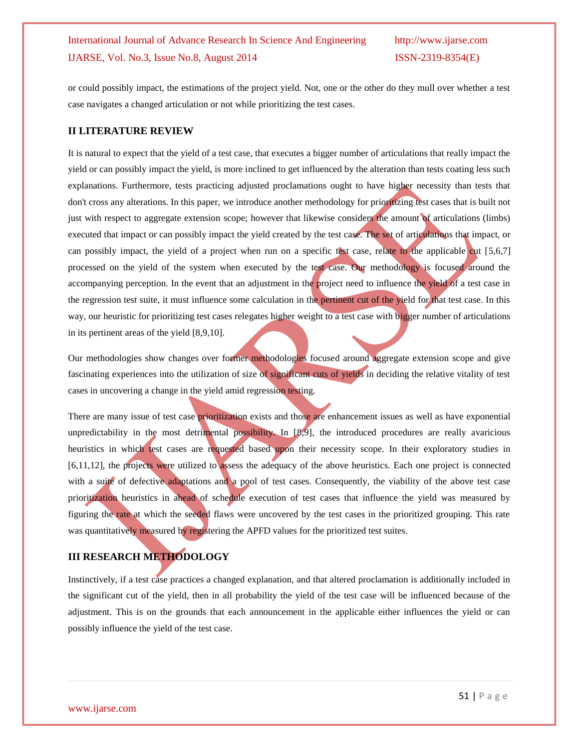or could possibly impact, the estimations of the project yield. Not, one or the other do they mull over whether a test case navigates a changed articulation or not while prioritizing the test cases.

#### **II LITERATURE REVIEW**

It is natural to expect that the yield of a test case, that executes a bigger number of articulations that really impact the yield or can possibly impact the yield, is more inclined to get influenced by the alteration than tests coating less such explanations. Furthermore, tests practicing adjusted proclamations ought to have higher necessity than tests that don't cross any alterations. In this paper, we introduce another methodology for prioritizing test cases that is built not just with respect to aggregate extension scope; however that likewise considers the amount of articulations (limbs) executed that impact or can possibly impact the yield created by the test case. The set of articulations that impact, or can possibly impact, the yield of a project when run on a specific test case, relate to the applicable cut [5,6,7] processed on the yield of the system when executed by the test case. Our methodology is focused around the accompanying perception. In the event that an adjustment in the project need to influence the yield of a test case in the regression test suite, it must influence some calculation in the pertinent cut of the yield for that test case. In this way, our heuristic for prioritizing test cases relegates higher weight to a test case with bigger number of articulations in its pertinent areas of the yield [8,9,10].

Our methodologies show changes over former methodologies focused around aggregate extension scope and give fascinating experiences into the utilization of size of significant cuts of yields in deciding the relative vitality of test cases in uncovering a change in the yield amid regression testing.

There are many issue of test case prioritization exists and those are enhancement issues as well as have exponential unpredictability in the most detrimental possibility. In [8,9], the introduced procedures are really avaricious heuristics in which test cases are requested based upon their necessity scope. In their exploratory studies in [6,11,12], the projects were utilized to assess the adequacy of the above heuristics. Each one project is connected with a suite of defective adaptations and a pool of test cases. Consequently, the viability of the above test case prioritization heuristics in ahead of schedule execution of test cases that influence the yield was measured by figuring the rate at which the seeded flaws were uncovered by the test cases in the prioritized grouping. This rate was quantitatively measured by registering the APFD values for the prioritized test suites.

## **III RESEARCH METHODOLOGY**

Instinctively, if a test case practices a changed explanation, and that altered proclamation is additionally included in the significant cut of the yield, then in all probability the yield of the test case will be influenced because of the adjustment. This is on the grounds that each announcement in the applicable either influences the yield or can possibly influence the yield of the test case.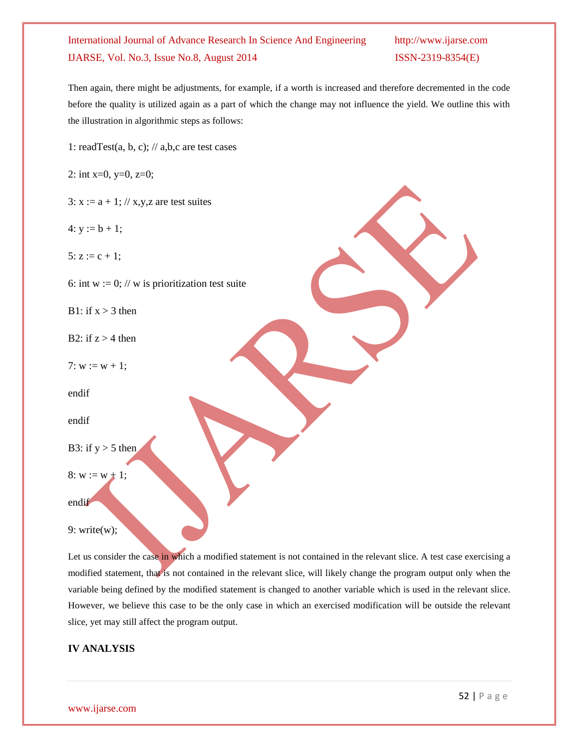Then again, there might be adjustments, for example, if a worth is increased and therefore decremented in the code before the quality is utilized again as a part of which the change may not influence the yield. We outline this with the illustration in algorithmic steps as follows:

1: readTest(a, b, c);  $\frac{1}{a}$ , b, c are test cases

2: int  $x=0$ ,  $y=0$ ,  $z=0$ ;

- 3:  $x := a + 1$ ; // x, y, z are test suites
- 4:  $y := b + 1$ ;

5:  $z := c + 1$ ;

6: int w := 0; // w is prioritization test suite

B1: if  $x > 3$  then

B2: if  $z > 4$  then

7:  $w := w + 1$ ;

endif

endif

```
B3: if y > 5 then
```
8:  $w := w + 1$ ;

endif

9: write(w);

Let us consider the case in which a modified statement is not contained in the relevant slice. A test case exercising a modified statement, that is not contained in the relevant slice, will likely change the program output only when the variable being defined by the modified statement is changed to another variable which is used in the relevant slice. However, we believe this case to be the only case in which an exercised modification will be outside the relevant slice, yet may still affect the program output.

#### **IV ANALYSIS**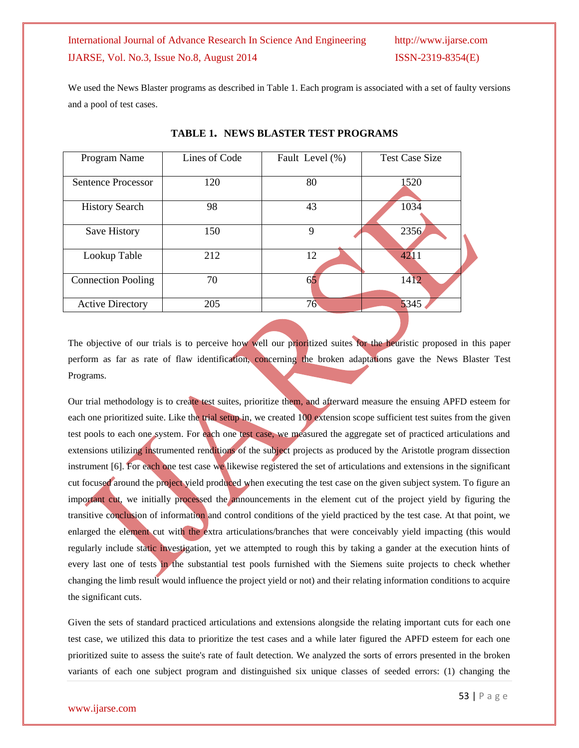We used the News Blaster programs as described in Table 1. Each program is associated with a set of faulty versions and a pool of test cases.

| Program Name              | Lines of Code | Fault Level (%) | <b>Test Case Size</b> |
|---------------------------|---------------|-----------------|-----------------------|
| Sentence Processor        | 120           | 80              | 1520                  |
| <b>History Search</b>     | 98            | 43              | 1034                  |
| Save History              | 150           | 9               | 2356                  |
| Lookup Table              | 212           | 12              | 4211                  |
| <b>Connection Pooling</b> | 70            | 65              | 1412                  |
| <b>Active Directory</b>   | 205           | 76              | 5345                  |

**TABLE 1. NEWS BLASTER TEST PROGRAMS**

The objective of our trials is to perceive how well our prioritized suites for the heuristic proposed in this paper perform as far as rate of flaw identification, concerning the broken adaptations gave the News Blaster Test Programs.

Our trial methodology is to create test suites, prioritize them, and afterward measure the ensuing APFD esteem for each one prioritized suite. Like the trial setup in, we created 100 extension scope sufficient test suites from the given test pools to each one system. For each one test case, we measured the aggregate set of practiced articulations and extensions utilizing instrumented renditions of the subject projects as produced by the Aristotle program dissection instrument [6]. For each one test case we likewise registered the set of articulations and extensions in the significant cut focused around the project yield produced when executing the test case on the given subject system. To figure an important cut, we initially processed the announcements in the element cut of the project yield by figuring the transitive conclusion of information and control conditions of the yield practiced by the test case. At that point, we enlarged the element cut with the extra articulations/branches that were conceivably yield impacting (this would regularly include static investigation, yet we attempted to rough this by taking a gander at the execution hints of every last one of tests in the substantial test pools furnished with the Siemens suite projects to check whether changing the limb result would influence the project yield or not) and their relating information conditions to acquire the significant cuts.

Given the sets of standard practiced articulations and extensions alongside the relating important cuts for each one test case, we utilized this data to prioritize the test cases and a while later figured the APFD esteem for each one prioritized suite to assess the suite's rate of fault detection. We analyzed the sorts of errors presented in the broken variants of each one subject program and distinguished six unique classes of seeded errors: (1) changing the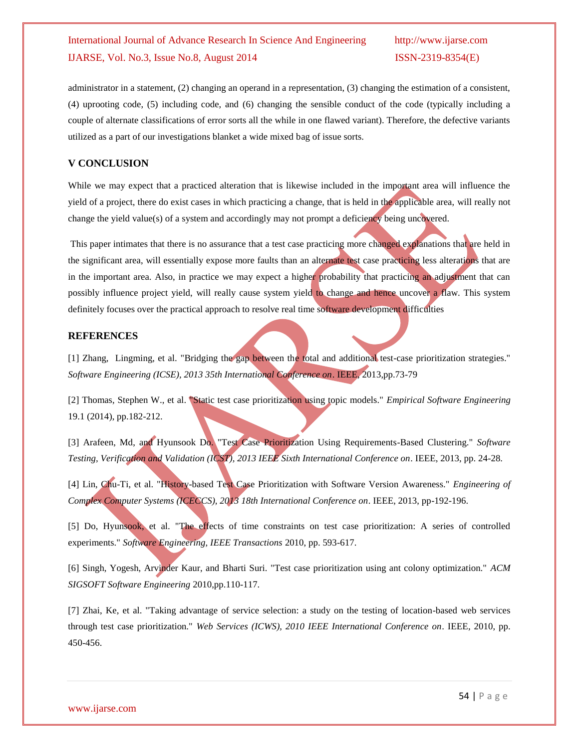administrator in a statement, (2) changing an operand in a representation, (3) changing the estimation of a consistent, (4) uprooting code, (5) including code, and (6) changing the sensible conduct of the code (typically including a couple of alternate classifications of error sorts all the while in one flawed variant). Therefore, the defective variants utilized as a part of our investigations blanket a wide mixed bag of issue sorts.

#### **V CONCLUSION**

While we may expect that a practiced alteration that is likewise included in the important area will influence the yield of a project, there do exist cases in which practicing a change, that is held in the applicable area, will really not change the yield value(s) of a system and accordingly may not prompt a deficiency being uncovered.

This paper intimates that there is no assurance that a test case practicing more changed explanations that are held in the significant area, will essentially expose more faults than an alternate test case practicing less alterations that are in the important area. Also, in practice we may expect a higher probability that practicing an adjustment that can possibly influence project yield, will really cause system yield to change and hence uncover a flaw. This system definitely focuses over the practical approach to resolve real time software development difficulties

#### **REFERENCES**

[1] Zhang, Lingming, et al. "Bridging the gap between the total and additional test-case prioritization strategies." *Software Engineering (ICSE), 2013 35th International Conference on*. IEEE, 2013,pp.73-79

[2] Thomas, Stephen W., et al. "Static test case prioritization using topic models." *Empirical Software Engineering* 19.1 (2014), pp.182-212.

[3] Arafeen, Md, and Hyunsook Do. "Test Case Prioritization Using Requirements-Based Clustering." *Software Testing, Verification and Validation (ICST), 2013 IEEE Sixth International Conference on*. IEEE, 2013, pp. 24-28.

[4] Lin, Chu-Ti, et al. "History-based Test Case Prioritization with Software Version Awareness." *Engineering of Complex Computer Systems (ICECCS), 2013 18th International Conference on*. IEEE, 2013, pp-192-196.

[5] Do, Hyunsook, et al. "The effects of time constraints on test case prioritization: A series of controlled experiments." *Software Engineering, IEEE Transactions* 2010, pp. 593-617.

[6] Singh, Yogesh, Arvinder Kaur, and Bharti Suri. "Test case prioritization using ant colony optimization." *ACM SIGSOFT Software Engineering* 2010,pp.110-117.

[7] Zhai, Ke, et al. "Taking advantage of service selection: a study on the testing of location-based web services through test case prioritization." *Web Services (ICWS), 2010 IEEE International Conference on*. IEEE, 2010, pp. 450-456.